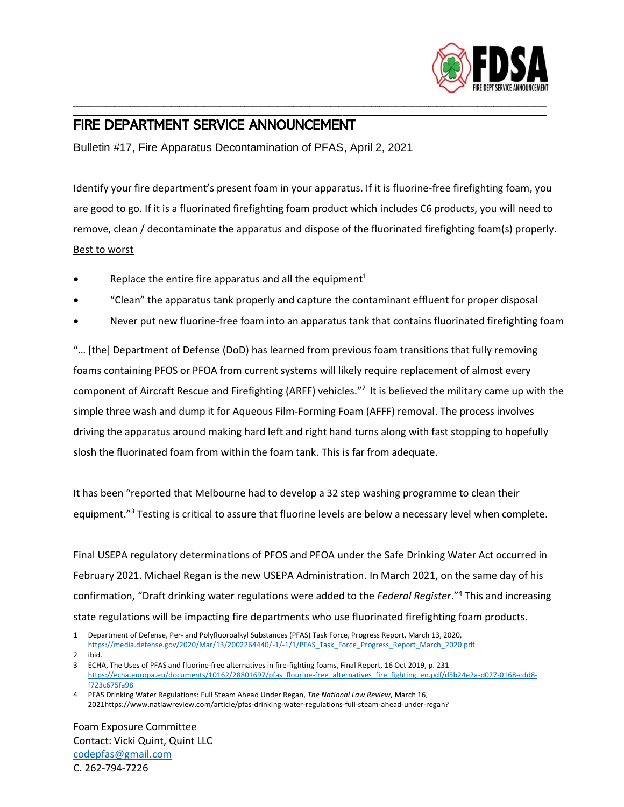

## FIRE DEPARTMENT SERVICE ANNOUNCEMENT

Bulletin #17, Fire Apparatus Decontamination of PFAS, April 2, 2021

Identify your fire department's present foam in your apparatus. If it is fluorine-free firefighting foam, you are good to go. If it is a fluorinated firefighting foam product which includes C6 products, you will need to remove, clean / decontaminate the apparatus and dispose of the fluorinated firefighting foam(s) properly. Best to worst

\_\_\_\_\_\_\_\_\_\_\_\_\_\_\_\_\_\_\_\_\_\_\_\_\_\_\_\_\_\_\_\_\_\_\_\_\_\_\_\_\_\_\_\_\_\_\_\_\_\_\_\_\_\_\_\_\_\_\_\_\_\_\_\_\_\_\_\_\_\_\_\_\_\_\_\_\_\_\_\_\_\_\_\_\_\_\_\_\_\_\_\_\_\_\_\_\_\_\_\_\_\_\_\_\_\_\_\_\_\_\_\_\_\_\_\_ \_\_\_\_\_\_\_\_\_\_\_\_\_\_\_\_\_\_\_\_\_\_\_\_\_\_\_\_\_\_\_\_\_\_\_\_\_\_\_\_\_\_\_\_\_\_\_\_\_\_\_\_\_\_\_\_\_\_\_\_\_\_\_\_\_\_\_\_\_\_\_\_\_\_\_\_\_\_\_\_\_\_\_\_\_\_\_\_\_\_\_\_\_\_\_\_\_\_\_\_\_\_\_\_\_\_\_\_\_\_\_\_\_\_\_\_

- Replace the entire fire apparatus and all the equipment<sup>1</sup>
- "Clean" the apparatus tank properly and capture the contaminant effluent for proper disposal
- Never put new fluorine-free foam into an apparatus tank that contains fluorinated firefighting foam

"… [the] Department of Defense (DoD) has learned from previous foam transitions that fully removing foams containing PFOS or PFOA from current systems will likely require replacement of almost every component of Aircraft Rescue and Firefighting (ARFF) vehicles."<sup>2</sup> It is believed the military came up with the simple three wash and dump it for Aqueous Film-Forming Foam (AFFF) removal. The process involves driving the apparatus around making hard left and right hand turns along with fast stopping to hopefully slosh the fluorinated foam from within the foam tank. This is far from adequate.

It has been "reported that Melbourne had to develop a 32 step washing programme to clean their equipment."<sup>3</sup> Testing is critical to assure that fluorine levels are below a necessary level when complete.

Final USEPA regulatory determinations of PFOS and PFOA under the Safe Drinking Water Act occurred in February 2021. Michael Regan is the new USEPA Administration. In March 2021, on the same day of his confirmation, "Draft drinking water regulations were added to the *Federal Register*." 4 This and increasing state regulations will be impacting fire departments who use fluorinated firefighting foam products.

- 1 Department of Defense, Per- and Polyfluoroalkyl Substances (PFAS) Task Force, Progress Report, March 13, 2020, [https://media.defense.gov/2020/Mar/13/2002264440/-1/-1/1/PFAS\\_Task\\_Force\\_Progress\\_Report\\_March\\_2020.pdf](https://media.defense.gov/2020/Mar/13/2002264440/-1/-1/1/PFAS_Task_Force_Progress_Report_March_2020.pdf)
- 2 ibid.

Foam Exposure Committee Contact: Vicki Quint, Quint LLC [codepfas@gmail.com](mailto:codepfas@gmail.com) C. 262-794-7226

<sup>3</sup> ECHA, The Uses of PFAS and fluorine-free alternatives in fire-fighting foams, Final Report, 16 Oct 2019, p. 231 [https://echa.europa.eu/documents/10162/28801697/pfas\\_flourine-free\\_alternatives\\_fire\\_fighting\\_en.pdf/d5b24e2a-d027-0168-cdd8](https://echa.europa.eu/documents/10162/28801697/pfas_flourine-free_alternatives_fire_fighting_en.pdf/d5b24e2a-d027-0168-cdd8-f723c675fa98) [f723c675fa98](https://echa.europa.eu/documents/10162/28801697/pfas_flourine-free_alternatives_fire_fighting_en.pdf/d5b24e2a-d027-0168-cdd8-f723c675fa98)

<sup>4</sup> PFAS Drinking Water Regulations: Full Steam Ahead Under Regan, *The National Law Review*, March 16, 2021https://www.natlawreview.com/article/pfas-drinking-water-regulations-full-steam-ahead-under-regan?